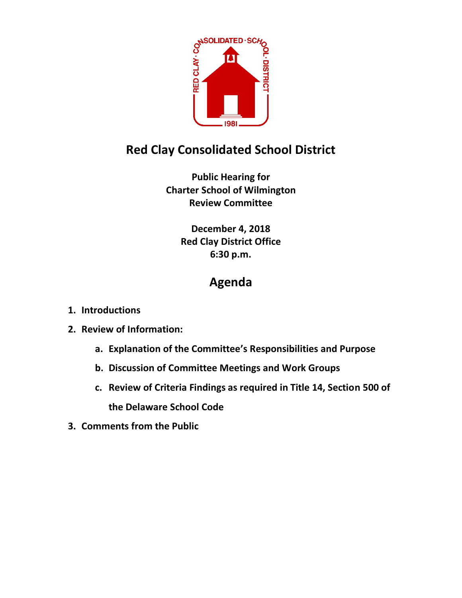

## **Red Clay Consolidated School District**

**Public Hearing for Charter School of Wilmington Review Committee**

> **December 4, 2018 Red Clay District Office 6:30 p.m.**

## **Agenda**

- **1. Introductions**
- **2. Review of Information:**
	- **a. Explanation of the Committee's Responsibilities and Purpose**
	- **b. Discussion of Committee Meetings and Work Groups**
	- **c. Review of Criteria Findings as required in Title 14, Section 500 of the Delaware School Code**
- **3. Comments from the Public**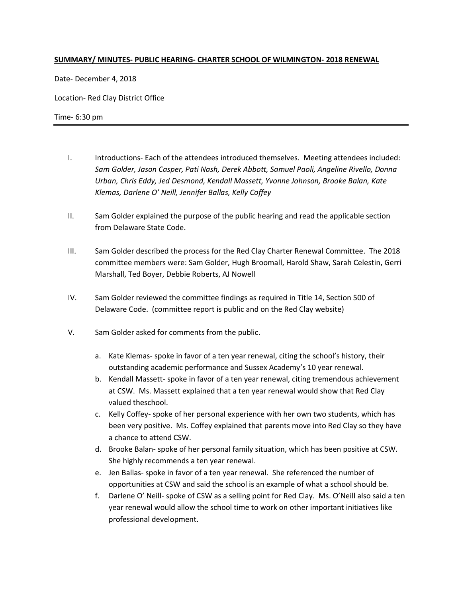## **SUMMARY/ MINUTES- PUBLIC HEARING- CHARTER SCHOOL OF WILMINGTON- 2018 RENEWAL**

Date- December 4, 2018

Location- Red Clay District Office

Time- 6:30 pm

- I. Introductions- Each of the attendees introduced themselves. Meeting attendees included: *Sam Golder, Jason Casper, Pati Nash, Derek Abbott, Samuel Paoli, Angeline Rivello, Donna Urban, Chris Eddy, Jed Desmond, Kendall Massett, Yvonne Johnson, Brooke Balan, Kate Klemas, Darlene O' Neill, Jennifer Ballas, Kelly Coffey*
- II. Sam Golder explained the purpose of the public hearing and read the applicable section from Delaware State Code.
- III. Sam Golder described the process for the Red Clay Charter Renewal Committee. The 2018 committee members were: Sam Golder, Hugh Broomall, Harold Shaw, Sarah Celestin, Gerri Marshall, Ted Boyer, Debbie Roberts, AJ Nowell
- IV. Sam Golder reviewed the committee findings as required in Title 14, Section 500 of Delaware Code. (committee report is public and on the Red Clay website)
- V. Sam Golder asked for comments from the public.
	- a. Kate Klemas- spoke in favor of a ten year renewal, citing the school's history, their outstanding academic performance and Sussex Academy's 10 year renewal.
	- b. Kendall Massett- spoke in favor of a ten year renewal, citing tremendous achievement at CSW. Ms. Massett explained that a ten year renewal would show that Red Clay valued theschool.
	- c. Kelly Coffey- spoke of her personal experience with her own two students, which has been very positive. Ms. Coffey explained that parents move into Red Clay so they have a chance to attend CSW.
	- d. Brooke Balan- spoke of her personal family situation, which has been positive at CSW. She highly recommends a ten year renewal.
	- e. Jen Ballas- spoke in favor of a ten year renewal. She referenced the number of opportunities at CSW and said the school is an example of what a school should be.
	- f. Darlene O' Neill- spoke of CSW as a selling point for Red Clay. Ms. O'Neill also said a ten year renewal would allow the school time to work on other important initiatives like professional development.